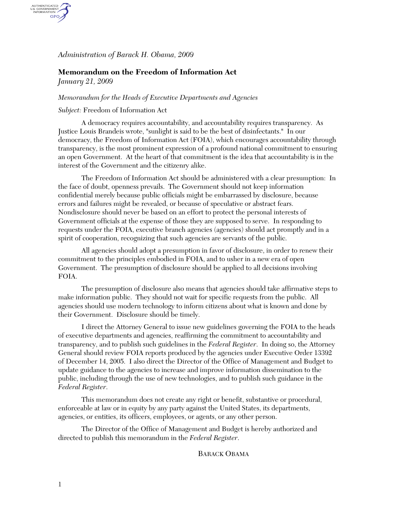## *Administration of Barack H. Obama, 2009*

## **Memorandum on the Freedom of Information Act**  *January 21, 2009*

## *Memorandum for the Heads of Executive Departments and Agencies*

## *Subject:* Freedom of Information Act

AUTHENTICATED<br>U.S. GOVERNMENT<br>INFORMATION GPO.

> A democracy requires accountability, and accountability requires transparency. As Justice Louis Brandeis wrote, "sunlight is said to be the best of disinfectants." In our democracy, the Freedom of Information Act (FOIA), which encourages accountability through transparency, is the most prominent expression of a profound national commitment to ensuring an open Government. At the heart of that commitment is the idea that accountability is in the interest of the Government and the citizenry alike.

> The Freedom of Information Act should be administered with a clear presumption: In the face of doubt, openness prevails. The Government should not keep information confidential merely because public officials might be embarrassed by disclosure, because errors and failures might be revealed, or because of speculative or abstract fears. Nondisclosure should never be based on an effort to protect the personal interests of Government officials at the expense of those they are supposed to serve. In responding to requests under the FOIA, executive branch agencies (agencies) should act promptly and in a spirit of cooperation, recognizing that such agencies are servants of the public.

All agencies should adopt a presumption in favor of disclosure, in order to renew their commitment to the principles embodied in FOIA, and to usher in a new era of open Government. The presumption of disclosure should be applied to all decisions involving FOIA.

The presumption of disclosure also means that agencies should take affirmative steps to make information public. They should not wait for specific requests from the public. All agencies should use modern technology to inform citizens about what is known and done by their Government. Disclosure should be timely.

I direct the Attorney General to issue new guidelines governing the FOIA to the heads of executive departments and agencies, reaffirming the commitment to accountability and transparency, and to publish such guidelines in the *Federal Register*. In doing so, the Attorney General should review FOIA reports produced by the agencies under Executive Order 13392 of December 14, 2005. I also direct the Director of the Office of Management and Budget to update guidance to the agencies to increase and improve information dissemination to the public, including through the use of new technologies, and to publish such guidance in the *Federal Register*.

This memorandum does not create any right or benefit, substantive or procedural, enforceable at law or in equity by any party against the United States, its departments, agencies, or entities, its officers, employees, or agents, or any other person.

The Director of the Office of Management and Budget is hereby authorized and directed to publish this memorandum in the *Federal Register*.

BARACK OBAMA